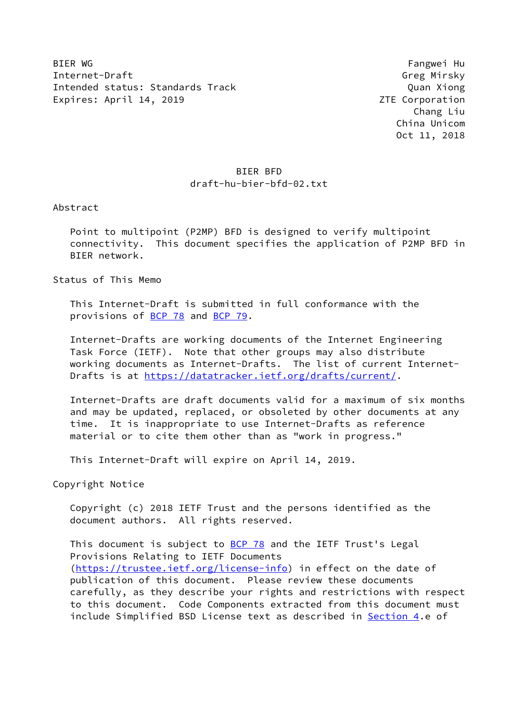BIER WG Fangwei Hu Internet-Draft Greg Mirsky Intended status: Standards Track Quan Xiong Expires: April 14, 2019 **ZTE** Corporation

 Chang Liu China Unicom Oct 11, 2018

# BIER BFD draft-hu-bier-bfd-02.txt

Abstract

 Point to multipoint (P2MP) BFD is designed to verify multipoint connectivity. This document specifies the application of P2MP BFD in BIER network.

Status of This Memo

 This Internet-Draft is submitted in full conformance with the provisions of [BCP 78](https://datatracker.ietf.org/doc/pdf/bcp78) and [BCP 79](https://datatracker.ietf.org/doc/pdf/bcp79).

 Internet-Drafts are working documents of the Internet Engineering Task Force (IETF). Note that other groups may also distribute working documents as Internet-Drafts. The list of current Internet- Drafts is at<https://datatracker.ietf.org/drafts/current/>.

 Internet-Drafts are draft documents valid for a maximum of six months and may be updated, replaced, or obsoleted by other documents at any time. It is inappropriate to use Internet-Drafts as reference material or to cite them other than as "work in progress."

This Internet-Draft will expire on April 14, 2019.

Copyright Notice

 Copyright (c) 2018 IETF Trust and the persons identified as the document authors. All rights reserved.

This document is subject to **[BCP 78](https://datatracker.ietf.org/doc/pdf/bcp78)** and the IETF Trust's Legal Provisions Relating to IETF Documents [\(https://trustee.ietf.org/license-info](https://trustee.ietf.org/license-info)) in effect on the date of publication of this document. Please review these documents carefully, as they describe your rights and restrictions with respect to this document. Code Components extracted from this document must include Simplified BSD License text as described in [Section 4.](#page-2-0)e of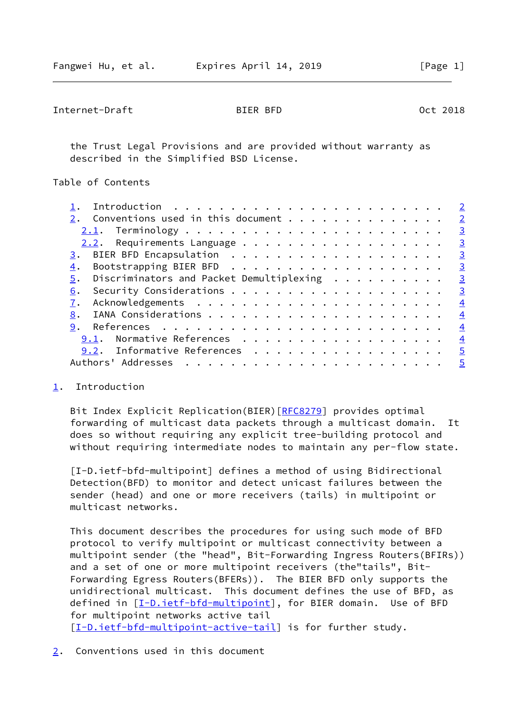<span id="page-1-1"></span>Internet-Draft BIER BFD Oct 2018

 the Trust Legal Provisions and are provided without warranty as described in the Simplified BSD License.

Table of Contents

| Conventions used in this document              | $\overline{2}$ |
|------------------------------------------------|----------------|
|                                                | $\overline{3}$ |
|                                                | $\overline{3}$ |
|                                                | $\overline{3}$ |
| 4.                                             | $\overline{3}$ |
| Discriminators and Packet Demultiplexing<br>5. | $\overline{3}$ |
| 6.                                             | $\overline{3}$ |
|                                                | $\overline{4}$ |
| 8.                                             | $\overline{4}$ |
| 9.                                             | $\overline{4}$ |
| Normative References<br>9.1.                   | $\overline{4}$ |
| 9.2. Informative References                    | $\overline{5}$ |
| Authors' Addresses                             | $\overline{5}$ |
|                                                |                |

## <span id="page-1-0"></span>[1](#page-1-0). Introduction

Bit Index Explicit Replication(BIER) [\[RFC8279](https://datatracker.ietf.org/doc/pdf/rfc8279)] provides optimal forwarding of multicast data packets through a multicast domain. It does so without requiring any explicit tree-building protocol and without requiring intermediate nodes to maintain any per-flow state.

<span id="page-1-3"></span> [I-D.ietf-bfd-multipoint] defines a method of using Bidirectional Detection(BFD) to monitor and detect unicast failures between the sender (head) and one or more receivers (tails) in multipoint or multicast networks.

 This document describes the procedures for using such mode of BFD protocol to verify multipoint or multicast connectivity between a multipoint sender (the "head", Bit-Forwarding Ingress Routers(BFIRs)) and a set of one or more multipoint receivers (the"tails", Bit- Forwarding Egress Routers(BFERs)). The BIER BFD only supports the unidirectional multicast. This document defines the use of BFD, as defined in [[I-D.ietf-bfd-multipoint\]](#page-1-3), for BIER domain. Use of BFD for multipoint networks active tail [\[I-D.ietf-bfd-multipoint-active-tail](#page-4-2)] is for further study.

<span id="page-1-2"></span>[2](#page-1-2). Conventions used in this document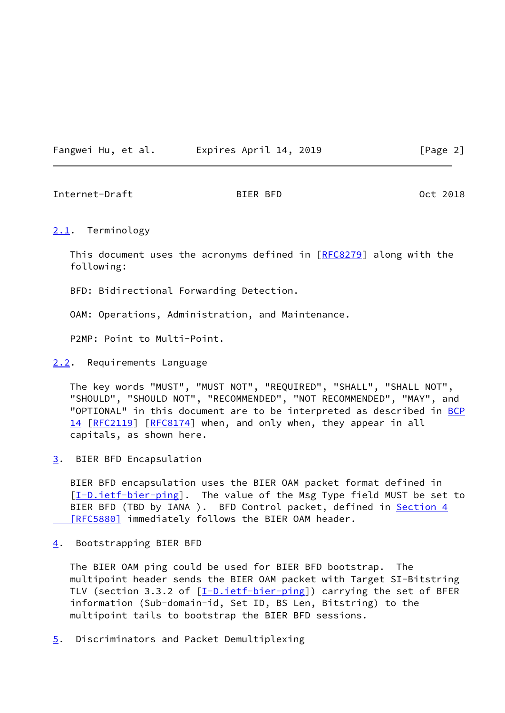Fangwei Hu, et al. Expires April 14, 2019 [Page 2]

<span id="page-2-2"></span>Internet-Draft BIER BFD Oct 2018

## <span id="page-2-1"></span>[2.1](#page-2-1). Terminology

This document uses the acronyms defined in [[RFC8279\]](https://datatracker.ietf.org/doc/pdf/rfc8279) along with the following:

BFD: Bidirectional Forwarding Detection.

OAM: Operations, Administration, and Maintenance.

P2MP: Point to Multi-Point.

# <span id="page-2-3"></span>[2.2](#page-2-3). Requirements Language

 The key words "MUST", "MUST NOT", "REQUIRED", "SHALL", "SHALL NOT", "SHOULD", "SHOULD NOT", "RECOMMENDED", "NOT RECOMMENDED", "MAY", and "OPTIONAL" in this document are to be interpreted as described in [BCP](https://datatracker.ietf.org/doc/pdf/bcp14) [14](https://datatracker.ietf.org/doc/pdf/bcp14) [[RFC2119\]](https://datatracker.ietf.org/doc/pdf/rfc2119) [\[RFC8174](https://datatracker.ietf.org/doc/pdf/rfc8174)] when, and only when, they appear in all capitals, as shown here.

<span id="page-2-4"></span>[3](#page-2-4). BIER BFD Encapsulation

 BIER BFD encapsulation uses the BIER OAM packet format defined in [\[I-D.ietf-bier-ping\]](#page-4-3). The value of the Msg Type field MUST be set to BIER BFD (TBD by IANA ). BFD Control packet, defined in [Section](https://datatracker.ietf.org/doc/pdf/rfc5880#section-4) 4 [RFC5880] immediately follows the BIER OAM header.

<span id="page-2-0"></span>[4](#page-2-0). Bootstrapping BIER BFD

 The BIER OAM ping could be used for BIER BFD bootstrap. The multipoint header sends the BIER OAM packet with Target SI-Bitstring TLV (section 3.3.2 of  $[I-D.iett-bier-ping]$ ) carrying the set of BFER information (Sub-domain-id, Set ID, BS Len, Bitstring) to the multipoint tails to bootstrap the BIER BFD sessions.

<span id="page-2-5"></span>[5](#page-2-5). Discriminators and Packet Demultiplexing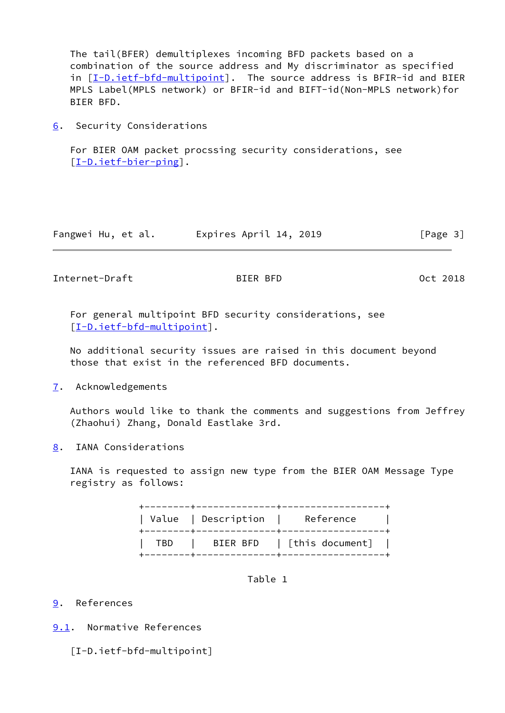The tail(BFER) demultiplexes incoming BFD packets based on a combination of the source address and My discriminator as specified in [[I-D.ietf-bfd-multipoint\]](#page-1-3). The source address is BFIR-id and BIER MPLS Label(MPLS network) or BFIR-id and BIFT-id(Non-MPLS network)for BIER BFD.

<span id="page-3-0"></span>[6](#page-3-0). Security Considerations

 For BIER OAM packet procssing security considerations, see [\[I-D.ietf-bier-ping\]](#page-4-3).

| Fangwei Hu, et al. | Expires April 14, 2019 | [Page 3] |
|--------------------|------------------------|----------|
|--------------------|------------------------|----------|

<span id="page-3-2"></span>Internet-Draft BIER BFD 0ct 2018

 For general multipoint BFD security considerations, see [\[I-D.ietf-bfd-multipoint](#page-1-3)].

 No additional security issues are raised in this document beyond those that exist in the referenced BFD documents.

<span id="page-3-1"></span>[7](#page-3-1). Acknowledgements

 Authors would like to thank the comments and suggestions from Jeffrey (Zhaohui) Zhang, Donald Eastlake 3rd.

<span id="page-3-3"></span>[8](#page-3-3). IANA Considerations

 IANA is requested to assign new type from the BIER OAM Message Type registry as follows:

> +--------+--------------+------------------+ | Value | Description | Reference | +--------+--------------+------------------+ | TBD | BIER BFD | [this document] | +--------+--------------+------------------+

> > Table 1

# <span id="page-3-4"></span>[9](#page-3-4). References

<span id="page-3-5"></span>[9.1](#page-3-5). Normative References

[I-D.ietf-bfd-multipoint]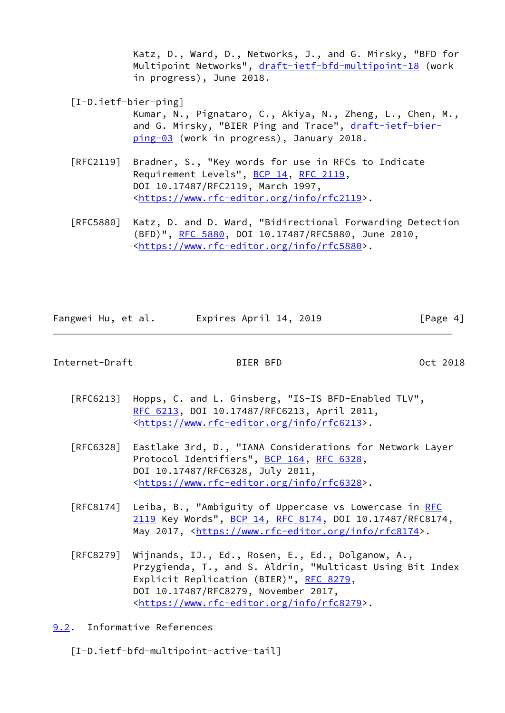Katz, D., Ward, D., Networks, J., and G. Mirsky, "BFD for Multipoint Networks", [draft-ietf-bfd-multipoint-18](https://datatracker.ietf.org/doc/pdf/draft-ietf-bfd-multipoint-18) (work in progress), June 2018.

<span id="page-4-3"></span>[I-D.ietf-bier-ping]

 Kumar, N., Pignataro, C., Akiya, N., Zheng, L., Chen, M., and G. Mirsky, "BIER Ping and Trace", [draft-ietf-bier](https://datatracker.ietf.org/doc/pdf/draft-ietf-bier-ping-03) [ping-03](https://datatracker.ietf.org/doc/pdf/draft-ietf-bier-ping-03) (work in progress), January 2018.

- [RFC2119] Bradner, S., "Key words for use in RFCs to Indicate Requirement Levels", [BCP 14](https://datatracker.ietf.org/doc/pdf/bcp14), [RFC 2119](https://datatracker.ietf.org/doc/pdf/rfc2119), DOI 10.17487/RFC2119, March 1997, <[https://www.rfc-editor.org/info/rfc2119>](https://www.rfc-editor.org/info/rfc2119).
- [RFC5880] Katz, D. and D. Ward, "Bidirectional Forwarding Detection (BFD)", [RFC 5880,](https://datatracker.ietf.org/doc/pdf/rfc5880) DOI 10.17487/RFC5880, June 2010, <[https://www.rfc-editor.org/info/rfc5880>](https://www.rfc-editor.org/info/rfc5880).

| Fangwei Hu, et al. | Expires April 14, 2019 | [Page 4] |
|--------------------|------------------------|----------|
|                    |                        |          |

### <span id="page-4-1"></span>Internet-Draft BIER BFD Oct 2018

- [RFC6213] Hopps, C. and L. Ginsberg, "IS-IS BFD-Enabled TLV", [RFC 6213,](https://datatracker.ietf.org/doc/pdf/rfc6213) DOI 10.17487/RFC6213, April 2011, <[https://www.rfc-editor.org/info/rfc6213>](https://www.rfc-editor.org/info/rfc6213).
- [RFC6328] Eastlake 3rd, D., "IANA Considerations for Network Layer Protocol Identifiers", [BCP 164](https://datatracker.ietf.org/doc/pdf/bcp164), [RFC 6328,](https://datatracker.ietf.org/doc/pdf/rfc6328) DOI 10.17487/RFC6328, July 2011, <[https://www.rfc-editor.org/info/rfc6328>](https://www.rfc-editor.org/info/rfc6328).
- [RFC8174] Leiba, B., "Ambiguity of Uppercase vs Lowercase in [RFC](https://datatracker.ietf.org/doc/pdf/rfc2119) [2119](https://datatracker.ietf.org/doc/pdf/rfc2119) Key Words", [BCP 14](https://datatracker.ietf.org/doc/pdf/bcp14), [RFC 8174,](https://datatracker.ietf.org/doc/pdf/rfc8174) DOI 10.17487/RFC8174, May 2017, [<https://www.rfc-editor.org/info/rfc8174](https://www.rfc-editor.org/info/rfc8174)>.
- [RFC8279] Wijnands, IJ., Ed., Rosen, E., Ed., Dolganow, A., Przygienda, T., and S. Aldrin, "Multicast Using Bit Index Explicit Replication (BIER)", [RFC 8279](https://datatracker.ietf.org/doc/pdf/rfc8279), DOI 10.17487/RFC8279, November 2017, <[https://www.rfc-editor.org/info/rfc8279>](https://www.rfc-editor.org/info/rfc8279).
- <span id="page-4-0"></span>[9.2](#page-4-0). Informative References

<span id="page-4-2"></span>[I-D.ietf-bfd-multipoint-active-tail]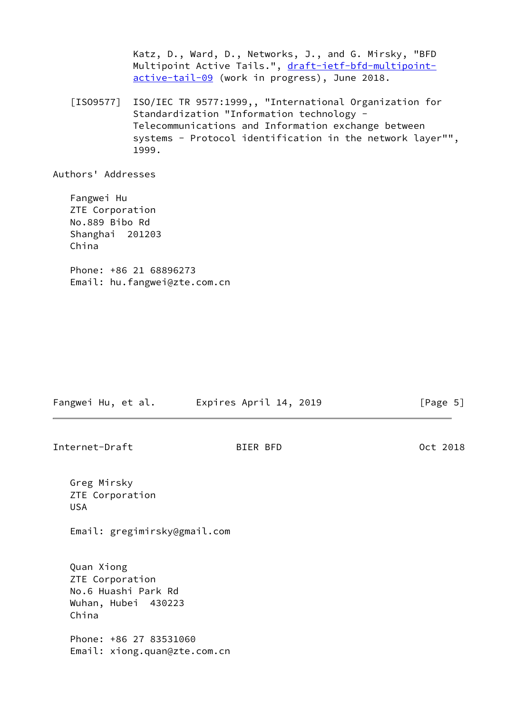Katz, D., Ward, D., Networks, J., and G. Mirsky, "BFD Multipoint Active Tails.", [draft-ietf-bfd-multipoint](https://datatracker.ietf.org/doc/pdf/draft-ietf-bfd-multipoint-active-tail-09) [active-tail-09](https://datatracker.ietf.org/doc/pdf/draft-ietf-bfd-multipoint-active-tail-09) (work in progress), June 2018.

 [ISO9577] ISO/IEC TR 9577:1999,, "International Organization for Standardization "Information technology - Telecommunications and Information exchange between systems - Protocol identification in the network layer"", 1999.

Authors' Addresses

 Fangwei Hu ZTE Corporation No.889 Bibo Rd Shanghai 201203 China Phone: +86 21 68896273

Email: hu.fangwei@zte.com.cn

Fangwei Hu, et al. Expires April 14, 2019 [Page 5]

Internet-Draft BIER BFD Oct 2018

 Greg Mirsky ZTE Corporation USA

Email: gregimirsky@gmail.com

 Quan Xiong ZTE Corporation No.6 Huashi Park Rd Wuhan, Hubei 430223 China

 Phone: +86 27 83531060 Email: xiong.quan@zte.com.cn